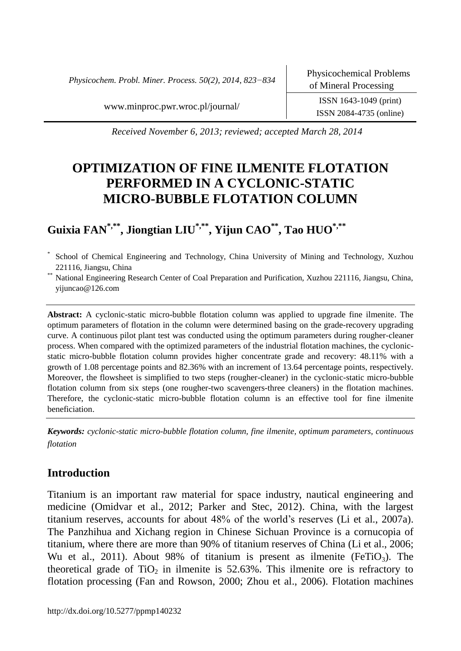*Physicochem. Probl. Miner. Process. 50(2), 2014, 823−834*

ISSN 2084-4735 (online)

[www.minproc.pwr.wroc.pl/journal/](http://www.minproc.pwr.wroc.pl/journal/) ISSN 1643-1049 (print)

*Received November 6, 2013; reviewed; accepted March 28, 2014*

# **OPTIMIZATION OF FINE ILMENITE FLOTATION PERFORMED IN A CYCLONIC-STATIC MICRO-BUBBLE FLOTATION COLUMN**

# **Guixia FAN\*,\*\* , Jiongtian LIU\*,\*\* , Yijun CAO\*\* , Tao HUO\*,\*\***

\* School of Chemical Engineering and Technology, China University of Mining and Technology, Xuzhou 221116, Jiangsu, China

\*\* National Engineering Research Center of Coal Preparation and Purification, Xuzhou 221116, Jiangsu, China, yijuncao@126.com

**Abstract:** A cyclonic-static micro-bubble flotation column was applied to upgrade fine ilmenite. The optimum parameters of flotation in the column were determined basing on the grade-recovery upgrading curve. A continuous pilot plant test was conducted using the optimum parameters during rougher-cleaner process. When compared with the optimized parameters of the industrial flotation machines, the cyclonicstatic micro-bubble flotation column provides higher concentrate grade and recovery: 48.11% with a growth of 1.08 percentage points and 82.36% with an increment of 13.64 percentage points, respectively. Moreover, the flowsheet is simplified to two steps (rougher-cleaner) in the cyclonic-static micro-bubble flotation column from six steps (one rougher-two scavengers-three cleaners) in the flotation machines. Therefore, the cyclonic-static micro-bubble flotation column is an effective tool for fine ilmenite beneficiation.

*Keywords: cyclonic-static micro-bubble flotation column, fine ilmenite, optimum parameters, continuous flotation* 

## **Introduction**

Titanium is an important raw material for space industry, nautical engineering and medicine (Omidvar et al., 2012; Parker and Stec, 2012). China, with the largest titanium reserves, accounts for about 48% of the world's reserves (Li et al., 2007a). The Panzhihua and Xichang region in Chinese Sichuan Province is a cornucopia of titanium, where there are more than 90% of titanium reserves of China (Li et al., 2006; Wu et al., 2011). About 98% of titanium is present as ilmenite (FeTiO<sub>3</sub>). The theoretical grade of  $TiO<sub>2</sub>$  in ilmenite is 52.63%. This ilmenite ore is refractory to flotation processing (Fan and Rowson, 2000; Zhou et al., 2006). Flotation machines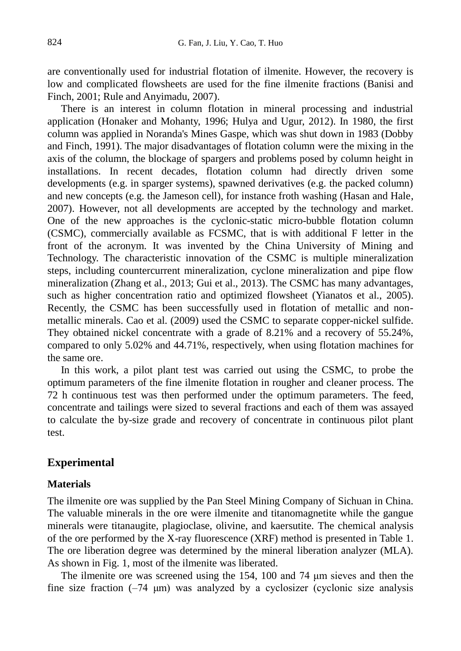are conventionally used for industrial flotation of ilmenite. However, the recovery is low and complicated flowsheets are used for the fine ilmenite fractions (Banisi and Finch, 2001; Rule and Anyimadu, 2007).

There is an interest in column flotation in mineral processing and industrial application (Honaker and Mohanty, 1996; Hulya and Ugur, 2012). In 1980, the first column was applied in Noranda's Mines Gaspe, which was shut down in 1983 (Dobby and Finch, 1991). The major disadvantages of flotation column were the mixing in the axis of the column, the blockage of spargers and problems posed by column height in installations. In recent decades, flotation column had directly driven some developments (e.g. in sparger systems), spawned derivatives (e.g. the packed column) and new concepts (e.g. the Jameson cell), for instance froth washing (Hasan and Hale, 2007). However, not all developments are accepted by the technology and market. One of the new approaches is the cyclonic-static micro-bubble flotation column (CSMC), commercially available as FCSMC, that is with additional F letter in the front of the acronym. It was invented by the China University of Mining and Technology. The characteristic innovation of the CSMC is multiple mineralization steps, including countercurrent mineralization, cyclone mineralization and pipe flow mineralization (Zhang et al., 2013; Gui et al., 2013). The CSMC has many advantages, such as higher concentration ratio and optimized flowsheet (Yianatos et al., 2005). Recently, the CSMC has been successfully used in flotation of metallic and nonmetallic minerals. Cao et al. (2009) used the CSMC to separate copper-nickel sulfide. They obtained nickel concentrate with a grade of 8.21% and a recovery of 55.24%, compared to only 5.02% and 44.71%, respectively, when using flotation machines for the same ore.

In this work, a pilot plant test was carried out using the CSMC, to probe the optimum parameters of the fine ilmenite flotation in rougher and cleaner process. The 72 h continuous test was then performed under the optimum parameters. The feed, concentrate and tailings were sized to several fractions and each of them was assayed to calculate the by-size grade and recovery of concentrate in continuous pilot plant test.

## **Experimental**

### **Materials**

The ilmenite ore was supplied by the Pan Steel Mining Company of Sichuan in China. The valuable minerals in the ore were ilmenite and titanomagnetite while the gangue minerals were titanaugite, plagioclase, olivine, and kaersutite. The chemical analysis of the ore performed by the X-ray fluorescence (XRF) method is presented in Table 1. The ore liberation degree was determined by the mineral liberation analyzer (MLA). As shown in Fig. 1, most of the ilmenite was liberated.

The ilmenite ore was screened using the 154, 100 and 74 μm sieves and then the fine size fraction  $(-74 \mu m)$  was analyzed by a cyclosizer (cyclonic size analysis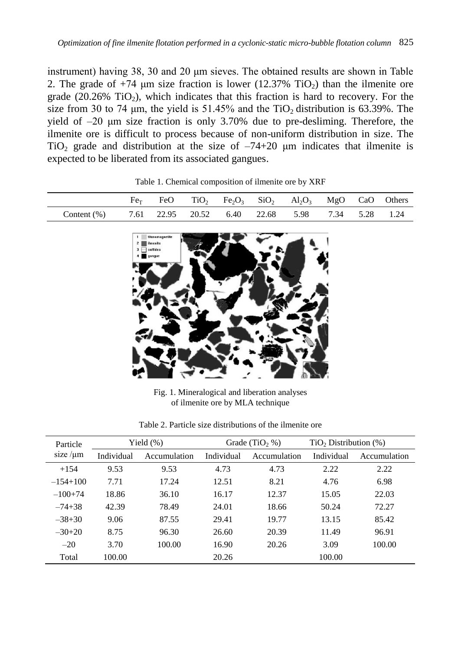instrument) having 38, 30 and 20 μm sieves. The obtained results are shown in Table 2. The grade of  $+74$  µm size fraction is lower (12.37% TiO<sub>2</sub>) than the ilmenite ore grade (20.26% TiO<sub>2</sub>), which indicates that this fraction is hard to recovery. For the size from 30 to 74  $\mu$ m, the yield is 51.45% and the TiO<sub>2</sub> distribution is 63.39%. The yield of –20 μm size fraction is only 3.70% due to pre-desliming. Therefore, the ilmenite ore is difficult to process because of non-uniform distribution in size. The  $TiO<sub>2</sub>$  grade and distribution at the size of  $-74+20$  µm indicates that ilmenite is expected to be liberated from its associated gangues.

|                |  |  | FeO TiO <sub>2</sub> Fe <sub>2</sub> O <sub>3</sub> SiO <sub>2</sub> Al <sub>2</sub> O <sub>3</sub> MgO CaO Others |  |  |
|----------------|--|--|--------------------------------------------------------------------------------------------------------------------|--|--|
| Content $(\%)$ |  |  | 7.61 22.95 20.52 6.40 22.68 5.98 7.34 5.28 1.24                                                                    |  |  |

Table 1. Chemical composition of ilmenite ore by XRF



Fig. 1. Mineralogical and liberation analyses of ilmenite ore by MLA technique

| Table 2. Particle size distributions of the ilmenite ore |
|----------------------------------------------------------|
|----------------------------------------------------------|

| Particle      | Yield $(\%)$ |              |            | Grade $(TiO, %)$ | $TiO2$ Distribution $(\%)$ |              |  |
|---------------|--------------|--------------|------------|------------------|----------------------------|--------------|--|
| size $/\mu$ m | Individual   | Accumulation | Individual | Accumulation     | Individual                 | Accumulation |  |
| $+1.54$       | 9.53         | 9.53         | 4.73       | 4.73             | 2.22                       | 2.22         |  |
| $-154+100$    | 7.71         | 17.24        | 12.51      | 8.21             | 4.76                       | 6.98         |  |
| $-100+74$     | 18.86        | 36.10        | 16.17      | 12.37            | 15.05                      | 22.03        |  |
| $-74+38$      | 42.39        | 78.49        | 24.01      | 18.66            | 50.24                      | 72.27        |  |
| $-38+30$      | 9.06         | 87.55        | 29.41      | 19.77            | 13.15                      | 85.42        |  |
| $-30+20$      | 8.75         | 96.30        | 26.60      | 20.39            | 11.49                      | 96.91        |  |
| $-20$         | 3.70         | 100.00       | 16.90      | 20.26            | 3.09                       | 100.00       |  |
| Total         | 100.00       |              | 20.26      |                  | 100.00                     |              |  |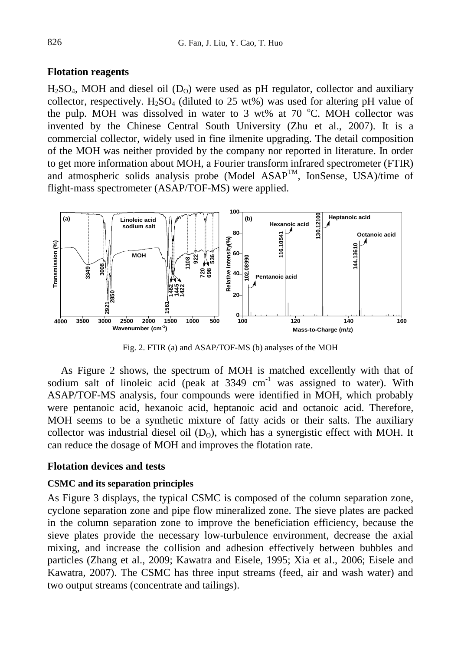#### **Flotation reagents**

 $H_2SO_4$ , MOH and diesel oil  $(D_0)$  were used as pH regulator, collector and auxiliary collector, respectively.  $H_2SO_4$  (diluted to 25 wt%) was used for altering pH value of the pulp. MOH was dissolved in water to 3 wt% at 70  $^{\circ}$ C. MOH collector was invented by the Chinese Central South University (Zhu et al., 2007). It is a commercial collector, widely used in fine ilmenite upgrading. The detail composition of the MOH was neither provided by the company nor reported in literature. In order to get more information about MOH, a Fourier transform infrared spectrometer (FTIR) and atmospheric solids analysis probe (Model ASAPTM, IonSense, USA)/time of flight-mass spectrometer (ASAP/TOF-MS) were applied.



Fig. 2. FTIR (a) and ASAP/TOF-MS (b) analyses of the MOH

As Figure 2 shows, the spectrum of MOH is matched excellently with that of sodium salt of linoleic acid (peak at  $3349 \text{ cm}^{-1}$  was assigned to water). With ASAP/TOF-MS analysis, four compounds were identified in MOH, which probably were pentanoic acid, hexanoic acid, heptanoic acid and octanoic acid. Therefore, MOH seems to be a synthetic mixture of fatty acids or their salts. The auxiliary collector was industrial diesel oil  $(D<sub>O</sub>)$ , which has a synergistic effect with MOH. It can reduce the dosage of MOH and improves the flotation rate.

#### **Flotation devices and tests**

#### **CSMC and its separation principles**

As Figure 3 displays, the typical CSMC is composed of the column separation zone, cyclone separation zone and pipe flow mineralized zone. The sieve plates are packed in the column separation zone to improve the beneficiation efficiency, because the sieve plates provide the necessary low-turbulence environment, decrease the axial mixing, and increase the collision and adhesion effectively between bubbles and particles (Zhang et al., 2009; Kawatra and Eisele, 1995; Xia et al., 2006; Eisele and Kawatra, 2007). The CSMC has three input streams (feed, air and wash water) and two output streams (concentrate and tailings).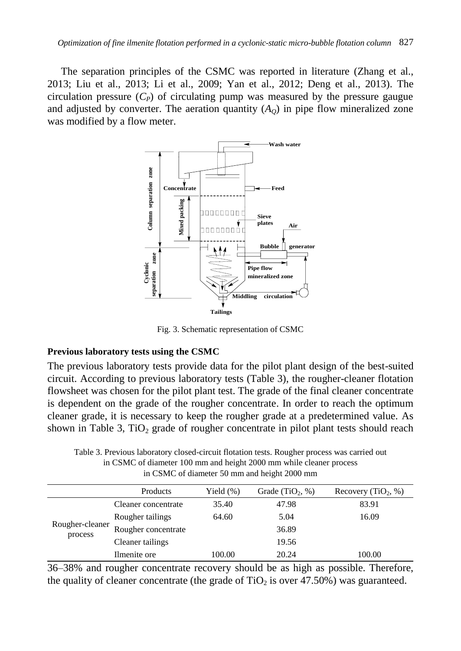The separation principles of the CSMC was reported in literature (Zhang et al., 2013; Liu et al., 2013; Li et al., 2009; Yan et al., 2012; Deng et al., 2013). The circulation pressure  $(C_P)$  of circulating pump was measured by the pressure gaugue and adjusted by converter. The aeration quantity  $(A<sub>Q</sub>)$  in pipe flow mineralized zone was modified by a flow meter.



Fig. 3. Schematic representation of CSMC

#### **Previous laboratory tests using the CSMC**

The previous laboratory tests provide data for the pilot plant design of the best-suited circuit. According to previous laboratory tests (Table 3), the rougher-cleaner flotation flowsheet was chosen for the pilot plant test. The grade of the final cleaner concentrate is dependent on the grade of the rougher concentrate. In order to reach the optimum cleaner grade, it is necessary to keep the rougher grade at a predetermined value. As shown in Table 3,  $TiO<sub>2</sub>$  grade of rougher concentrate in pilot plant tests should reach

Table 3. Previous laboratory closed-circuit flotation tests. Rougher process was carried out in CSMC of diameter 100 mm and height 2000 mm while cleaner process in CSMC of diameter 50 mm and height 2000 mm

|                            | Products            | Yield $(\%)$ | Grade $(TiO2, %$ | Recovery $(TiO2, %)$ |
|----------------------------|---------------------|--------------|------------------|----------------------|
| Rougher-cleaner<br>process | Cleaner concentrate | 35.40        | 47.98            | 83.91                |
|                            | Rougher tailings    | 64.60        | 5.04             | 16.09                |
|                            | Rougher concentrate |              | 36.89            |                      |
|                            | Cleaner tailings    |              | 19.56            |                      |
|                            | Ilmenite ore        | 100.00       | 20.24            | 100.00               |

36–38% and rougher concentrate recovery should be as high as possible. Therefore, the quality of cleaner concentrate (the grade of  $TiO<sub>2</sub>$  is over 47.50%) was guaranteed.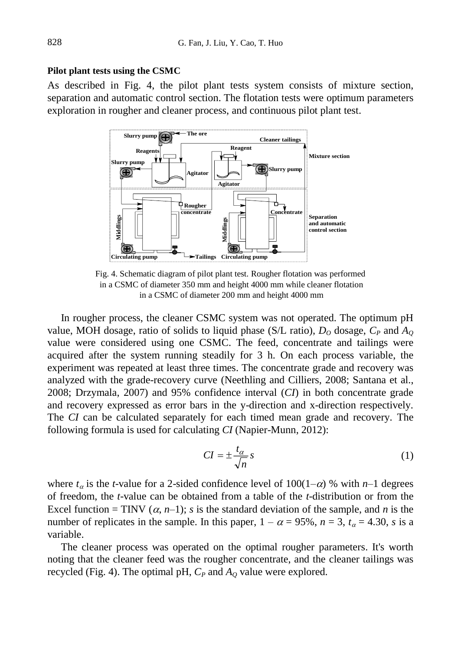#### **Pilot plant tests using the CSMC**

As described in Fig. 4, the pilot plant tests system consists of mixture section, separation and automatic control section. The flotation tests were optimum parameters exploration in rougher and cleaner process, and continuous pilot plant test.



Fig. 4. Schematic diagram of pilot plant test. Rougher flotation was performed in a CSMC of diameter 350 mm and height 4000 mm while cleaner flotation in a CSMC of diameter 200 mm and height 4000 mm

In rougher process, the cleaner CSMC system was not operated. The optimum pH value, MOH dosage, ratio of solids to liquid phase (S/L ratio),  $D<sub>O</sub>$  dosage,  $C<sub>P</sub>$  and  $A<sub>O</sub>$ value were considered using one CSMC. The feed, concentrate and tailings were acquired after the system running steadily for 3 h. On each process variable, the experiment was repeated at least three times. The concentrate grade and recovery was analyzed with the grade-recovery curve (Neethling and Cilliers, 2008; Santana et al., 2008; Drzymala, 2007) and 95% confidence interval (*CI*) in both concentrate grade and recovery expressed as error bars in the y-direction and x-direction respectively. The *CI* can be calculated separately for each timed mean grade and recovery. The following formula is used for calculating *CI* (Napier-Munn, 2012):

$$
CI = \pm \frac{t_{\alpha}}{\sqrt{n}} s \tag{1}
$$

where  $t_{\alpha}$  is the *t*-value for a 2-sided confidence level of  $100(1-\alpha)$  % with *n*-1 degrees of freedom, the *t*-value can be obtained from a table of the *t*-distribution or from the Excel function = TINV  $(\alpha, n-1)$ ; *s* is the standard deviation of the sample, and *n* is the number of replicates in the sample. In this paper,  $1 - \alpha = 95\%$ ,  $n = 3$ ,  $t_{\alpha} = 4.30$ , *s* is a variable.

The cleaner process was operated on the optimal rougher parameters. It's worth noting that the cleaner feed was the rougher concentrate, and the cleaner tailings was recycled (Fig. 4). The optimal pH,  $C_P$  and  $A_O$  value were explored.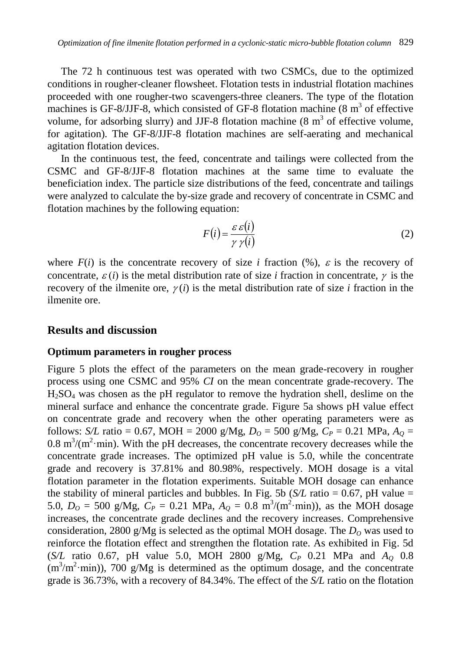The 72 h continuous test was operated with two CSMCs, due to the optimized conditions in rougher-cleaner flowsheet. Flotation tests in industrial flotation machines proceeded with one rougher-two scavengers-three cleaners. The type of the flotation machines is GF-8/JJF-8, which consisted of GF-8 flotation machine  $(8 \text{ m}^3 \text{ of effective})$ volume, for adsorbing slurry) and JJF-8 flotation machine  $(8 \text{ m}^3)$  of effective volume, for agitation). The GF-8/JJF-8 flotation machines are self-aerating and mechanical agitation flotation devices.

In the continuous test, the feed, concentrate and tailings were collected from the CSMC and GF-8/JJF-8 flotation machines at the same time to evaluate the beneficiation index. The particle size distributions of the feed, concentrate and tailings were analyzed to calculate the by-size grade and recovery of concentrate in CSMC and flotation machines by the following equation:

$$
F(i) = \frac{\varepsilon \, \varepsilon(i)}{\gamma \, \gamma(i)}\tag{2}
$$

where  $F(i)$  is the concentrate recovery of size *i* fraction (%),  $\varepsilon$  is the recovery of concentrate,  $\varepsilon(i)$  is the metal distribution rate of size *i* fraction in concentrate,  $\gamma$  is the recovery of the ilmenite ore,  $\gamma(i)$  is the metal distribution rate of size *i* fraction in the ilmenite ore.

## **Results and discussion**

#### **Optimum parameters in rougher process**

Figure 5 plots the effect of the parameters on the mean grade-recovery in rougher process using one CSMC and 95% *CI* on the mean concentrate grade-recovery. The  $H<sub>2</sub>SO<sub>4</sub>$  was chosen as the pH regulator to remove the hydration shell, deslime on the mineral surface and enhance the concentrate grade. Figure 5a shows pH value effect on concentrate grade and recovery when the other operating parameters were as follows: *S/L* ratio = 0.67, MOH = 2000 g/Mg,  $D_0 = 500$  g/Mg,  $C_P = 0.21$  MPa,  $A_0 =$  $0.8 \text{ m}^3/\text{(m}^2 \cdot \text{min})$ . With the pH decreases, the concentrate recovery decreases while the concentrate grade increases. The optimized pH value is 5.0, while the concentrate grade and recovery is 37.81% and 80.98%, respectively. MOH dosage is a vital flotation parameter in the flotation experiments. Suitable MOH dosage can enhance the stability of mineral particles and bubbles. In Fig. 5b ( $S/L$  ratio = 0.67, pH value = 5.0,  $D_0 = 500$  g/Mg,  $C_P = 0.21$  MPa,  $A_Q = 0.8$  m<sup>3</sup>/(m<sup>2</sup>·min)), as the MOH dosage increases, the concentrate grade declines and the recovery increases. Comprehensive consideration, 2800 g/Mg is selected as the optimal MOH dosage. The  $D<sub>O</sub>$  was used to reinforce the flotation effect and strengthen the flotation rate. As exhibited in Fig. 5d (*S/L* ratio 0.67, pH value 5.0, MOH 2800 g/Mg, *C<sup>P</sup>* 0.21 MPa and *A<sup>Q</sup>* 0.8  $(m^3/m^2 \cdot min)$ ), 700 g/Mg is determined as the optimum dosage, and the concentrate grade is 36.73%, with a recovery of 84.34%. The effect of the *S/L* ratio on the flotation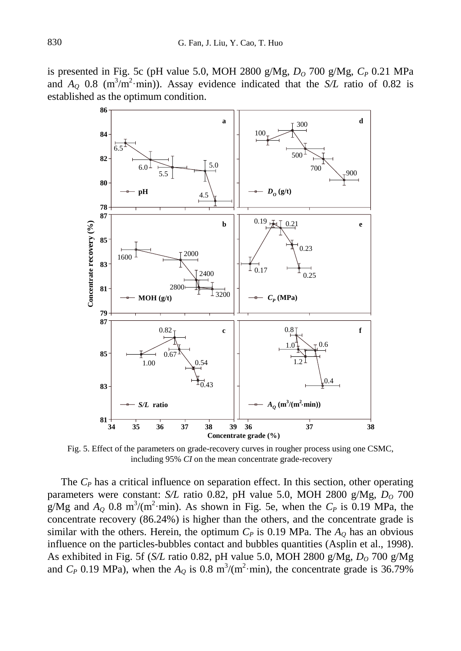is presented in Fig. 5c (pH value 5.0, MOH 2800 g/Mg, *D<sup>O</sup>* 700 g/Mg, *C<sup>P</sup>* 0.21 MPa and  $A_{Q}$  0.8 (m<sup>3</sup>/m<sup>2</sup>·min)). Assay evidence indicated that the *S/L* ratio of 0.82 is established as the optimum condition.



Fig. 5. Effect of the parameters on grade-recovery curves in rougher process using one CSMC, including 95% *CI* on the mean concentrate grade-recovery

The  $C_P$  has a critical influence on separation effect. In this section, other operating parameters were constant: *S/L* ratio 0.82, pH value 5.0, MOH 2800 g/Mg,  $D<sub>o</sub>$  700 g/Mg and  $A_Q$  0.8 m<sup>3</sup>/(m<sup>2</sup>·min). As shown in Fig. 5e, when the  $C_P$  is 0.19 MPa, the concentrate recovery (86.24%) is higher than the others, and the concentrate grade is similar with the others. Herein, the optimum  $C_P$  is 0.19 MPa. The  $A_O$  has an obvious influence on the particles-bubbles contact and bubbles quantities (Asplin et al., 1998). As exhibited in Fig. 5f (*S/L* ratio 0.82, pH value 5.0, MOH 2800 g/Mg, *D<sup>O</sup>* 700 g/Mg and  $C_P$  0.19 MPa), when the  $A_Q$  is 0.8 m<sup>3</sup>/(m<sup>2</sup>·min), the concentrate grade is 36.79%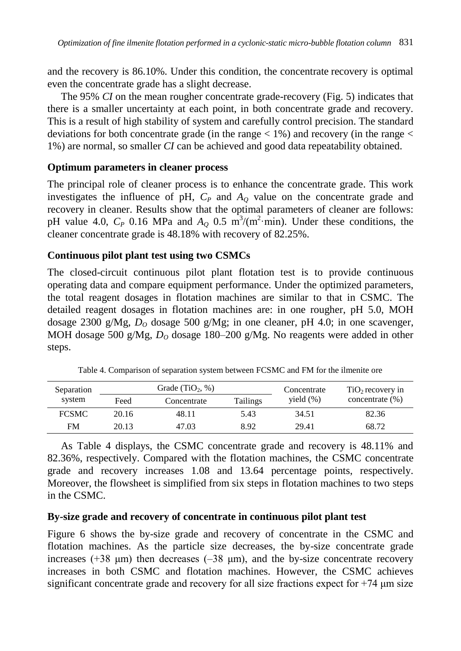and the recovery is 86.10%. Under this condition, the concentrate recovery is optimal even the concentrate grade has a slight decrease.

The 95% *CI* on the mean rougher concentrate grade-recovery (Fig. 5) indicates that there is a smaller uncertainty at each point, in both concentrate grade and recovery. This is a result of high stability of system and carefully control precision. The standard deviations for both concentrate grade (in the range  $<$  1%) and recovery (in the range  $<$ 1%) are normal, so smaller *CI* can be achieved and good data repeatability obtained.

## **Optimum parameters in cleaner process**

The principal role of cleaner process is to enhance the concentrate grade. This work investigates the influence of pH,  $C_P$  and  $A_Q$  value on the concentrate grade and recovery in cleaner. Results show that the optimal parameters of cleaner are follows: pH value 4.0,  $C_P$  0.16 MPa and  $A_Q$  0.5 m<sup>3</sup>/(m<sup>2</sup>·min). Under these conditions, the cleaner concentrate grade is 48.18% with recovery of 82.25%.

## **Continuous pilot plant test using two CSMCs**

The closed-circuit continuous pilot plant flotation test is to provide continuous operating data and compare equipment performance. Under the optimized parameters, the total reagent dosages in flotation machines are similar to that in CSMC. The detailed reagent dosages in flotation machines are: in one rougher, pH 5.0, MOH dosage 2300 g/Mg, *D<sup>O</sup>* dosage 500 g/Mg; in one cleaner, pH 4.0; in one scavenger, MOH dosage 500 g/Mg, *D<sup>O</sup>* dosage 180–200 g/Mg. No reagents were added in other steps.

| Separation   |       | Grade $(TiO2, %)$ | Concentrate | $TiO2$ recovery in |                    |  |
|--------------|-------|-------------------|-------------|--------------------|--------------------|--|
| system       | Feed  | Concentrate       | Tailings    | vield $(\%)$       | concentrate $(\%)$ |  |
| <b>FCSMC</b> | 20.16 | 48.11             | 5.43        | 34.51              | 82.36              |  |
| FM           | 20.13 | 47.03             | 8.92        | 29.41              | 68.72              |  |

Table 4. Comparison of separation system between FCSMC and FM for the ilmenite ore

As Table 4 displays, the CSMC concentrate grade and recovery is 48.11% and 82.36%, respectively. Compared with the flotation machines, the CSMC [concentrate](app:ds:concentrate) grade and recovery increases 1.08 and 13.64 [percentage](app:ds:percentage) [points](app:ds:point), respectively. Moreover, the flowsheet is simplified from six steps in flotation machines to two steps in the CSMC.

## **By-size grade and recovery of concentrate in continuous pilot plant test**

Figure 6 shows the by-size grade and recovery of concentrate in the CSMC and flotation machines. As the particle size decreases, the by-size concentrate grade increases ( $+38$  μm) then decreases ( $-38$  μm), and the by-size concentrate recovery increases in both CSMC and flotation machines. However, the CSMC achieves significant concentrate grade and recovery for all size fractions expect for  $+74$  µm size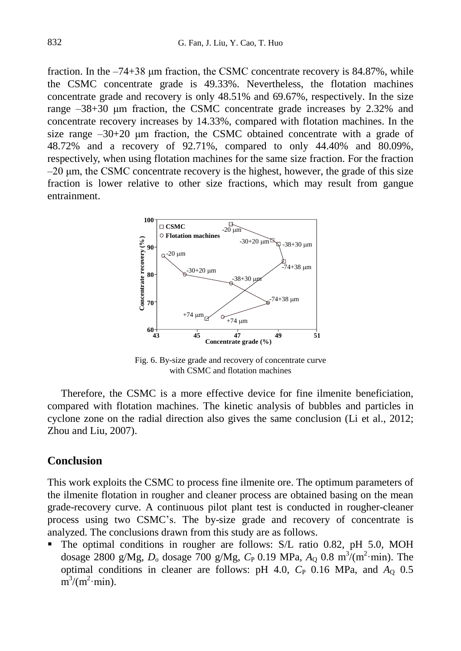fraction. In the  $-74+38$  µm fraction, the CSMC concentrate [recovery](app:ds:recovery) is 84.87%, while the CSMC concentrate grade is 49.33%. Nevertheless, the flotation machines concentrate grade and [recovery](app:ds:recovery) is only 48.51% and 69.67%, respectively. In the size range –38+30 μm fraction, the CSMC concentrate [grade](app:ds:recovery) increases by 2.32% and concentrate [recovery](app:ds:recovery) increases by 14.33%, compared with flotation machines. In the size range  $-30+20$  µm fraction, the CSMC obtained concentrate with a grade of 48.72% and a recovery of 92.71%, compared to only 44.40% and 80.09%, respectively, when using flotation machines for the same size fraction. For the fraction  $-20 \mu m$ , the CSMC concentrate recovery is the highest, however, the grade of this size fraction is lower relative to other size fractions, which may result from gangue entrainment.



Fig. 6. By-size grade and recovery of concentrate curve with CSMC and flotation machines

Therefore, the CSMC is a more effective device for fine ilmenite beneficiation, compared with flotation machines. The kinetic analysis of bubbles and particles in cyclone zone on the radial direction also gives the same conclusion (Li et al., 2012; Zhou and Liu, 2007).

## **Conclusion**

This work exploits the CSMC to process fine ilmenite ore. The optimum parameters of the ilmenite flotation in rougher and cleaner process are obtained basing on the mean grade-recovery curve. A continuous pilot plant test is conducted in rougher-cleaner process using two CSMC's. The by-size grade and recovery of concentrate is analyzed. The conclusions drawn from this study are as follows.

 The optimal conditions in rougher are follows: S/L ratio 0.82, pH 5.0, MOH dosage 2800 g/Mg,  $D_0$  dosage 700 g/Mg,  $C_P$  0.19 MPa,  $A_Q$  0.8 m<sup>3</sup>/(m<sup>2</sup>·min). The optimal conditions in cleaner are follows: pH 4.0,  $C_{P}$  0.16 MPa, and  $A_{O}$  0.5  $m^3/(m^2 \cdot min)$ .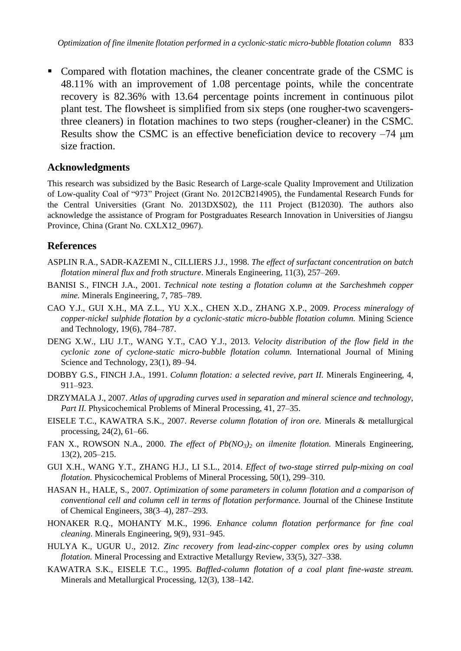Compared with flotation machines, the cleaner concentrate grade of the CSMC is 48.11% with an improvement of 1.08 [percentage](app:ds:percentage) [points](app:ds:point), while the concentrate recovery is 82.36% with 13.64 [percentage](app:ds:percentage) [points](app:ds:point) increment in continuous pilot plant test. The flowsheet is simplified from six steps (one rougher-two scavengersthree cleaners) in flotation machines to two steps (rougher-cleaner) in the CSMC. Results show the CSMC is an effective beneficiation device to recovery –74 μm size fraction.

## **Acknowledgments**

This research was subsidized by the Basic Research of Large-scale Quality Improvement and Utilization of Low-quality Coal of "973" Project (Grant No. 2012CB214905), the Fundamental Research Funds for the Central Universities (Grant No. 2013DXS02), the 111 Project (B12030). The authors also acknowledge the assistance of Program for Postgraduates Research Innovation in Universities of Jiangsu Province, China (Grant No. CXLX12\_0967).

## **References**

- ASPLIN R.A., SADR-KAZEMI N., CILLIERS J.J., 1998. *The effect of surfactant concentration on batch flotation mineral flux and froth structure*. Minerals Engineering, 11(3), 257–269.
- BANISI S., FINCH J.A., 2001. *Technical note testing a flotation column at the Sarcheshmeh copper mine.* Minerals Engineering, 7, 785–789.
- CAO Y.J., GUI X.H., MA Z.L., YU X.X., CHEN X.D., ZHANG X.P., 2009. *Process mineralogy of copper-nickel sulphide flotation by a cyclonic-static micro-bubble flotation column.* Mining Science and Technology, 19(6), 784–787.
- DENG X.W., LIU J.T., WANG Y.T., CAO Y.J., 2013. *Velocity distribution of the flow field in the cyclonic zone of cyclone-static micro-bubble flotation column.* International Journal of Mining Science and Technology, 23(1), 89–94.
- DOBBY G.S., FINCH J.A., 1991. *Column flotation: a selected revive, part II.* Minerals Engineering, 4, 911–923.
- DRZYMALA J., 2007. *Atlas of upgrading curves used in separation and mineral science and technology, Part II.* Physicochemical Problems of Mineral Processing, 41, 27–35.
- EISELE T.C., KAWATRA S.K., 2007. *Reverse column flotation of iron ore.* Minerals & metallurgical processing, 24(2), 61–66.
- FAN X., ROWSON N.A., 2000. *The effect of Pb(NO<sup>3</sup> )<sup>2</sup> on ilmenite flotation.* Minerals Engineering, 13(2), 205–215.
- GUI X.H., WANG Y.T., ZHANG H.J., LI S.L., 2014. *Effect of two-stage stirred pulp-mixing on coal flotation.* Physicochemical Problems of Mineral Processing, 50(1), 299–310.
- HASAN H., HALE, S., 2007. *Optimization of some parameters in column flotation and a comparison of conventional cell and column cell in terms of flotation performance.* Journal of the Chinese Institute of Chemical Engineers, 38(3–4), 287–293.
- HONAKER R.Q., MOHANTY M.K., 1996. *Enhance column flotation performance for fine coal cleaning.* Minerals Engineering, 9(9), 931–945.
- HULYA K., UGUR U., 2012. *Zinc recovery from lead-zinc-copper complex ores by using column flotation.* Mineral Processing and Extractive Metallurgy Review, 33(5), 327–338.
- KAWATRA S.K., EISELE T.C., 1995. *Baffled-column flotation of a coal plant fine-waste stream.*  Minerals and Metallurgical Processing, 12(3), 138–142.